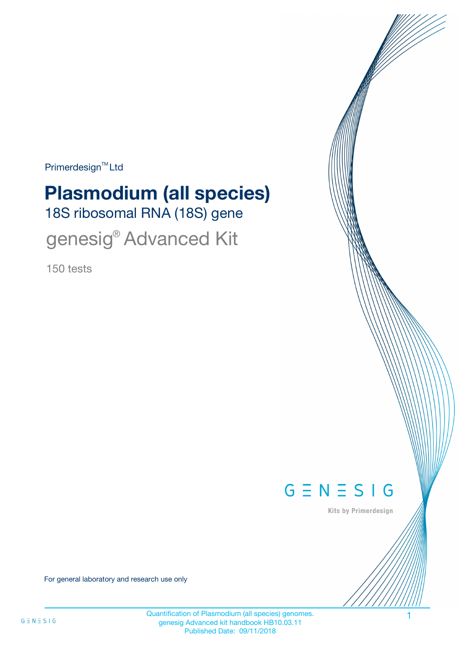Primerdesign<sup>™</sup>Ltd

# 18S ribosomal RNA (18S) gene **Plasmodium (all species)**

genesig® Advanced Kit

150 tests



Kits by Primerdesign

For general laboratory and research use only

Quantification of Plasmodium (all species) genomes. 1 genesig Advanced kit handbook HB10.03.11 Published Date: 09/11/2018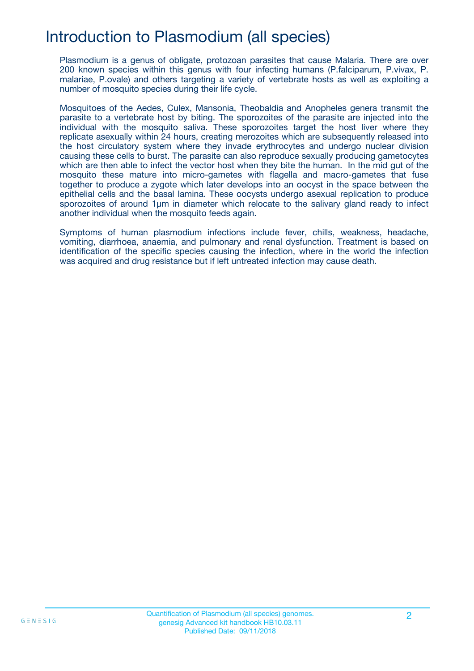## Introduction to Plasmodium (all species)

Plasmodium is a genus of obligate, protozoan parasites that cause Malaria. There are over 200 known species within this genus with four infecting humans (P.falciparum, P.vivax, P. malariae, P.ovale) and others targeting a variety of vertebrate hosts as well as exploiting a number of mosquito species during their life cycle.

Mosquitoes of the Aedes, Culex, Mansonia, Theobaldia and Anopheles genera transmit the parasite to a vertebrate host by biting. The sporozoites of the parasite are injected into the individual with the mosquito saliva. These sporozoites target the host liver where they replicate asexually within 24 hours, creating merozoites which are subsequently released into the host circulatory system where they invade erythrocytes and undergo nuclear division causing these cells to burst. The parasite can also reproduce sexually producing gametocytes which are then able to infect the vector host when they bite the human. In the mid gut of the mosquito these mature into micro-gametes with flagella and macro-gametes that fuse together to produce a zygote which later develops into an oocyst in the space between the epithelial cells and the basal lamina. These oocysts undergo asexual replication to produce sporozoites of around 1µm in diameter which relocate to the salivary gland ready to infect another individual when the mosquito feeds again.

Symptoms of human plasmodium infections include fever, chills, weakness, headache, vomiting, diarrhoea, anaemia, and pulmonary and renal dysfunction. Treatment is based on identification of the specific species causing the infection, where in the world the infection was acquired and drug resistance but if left untreated infection may cause death.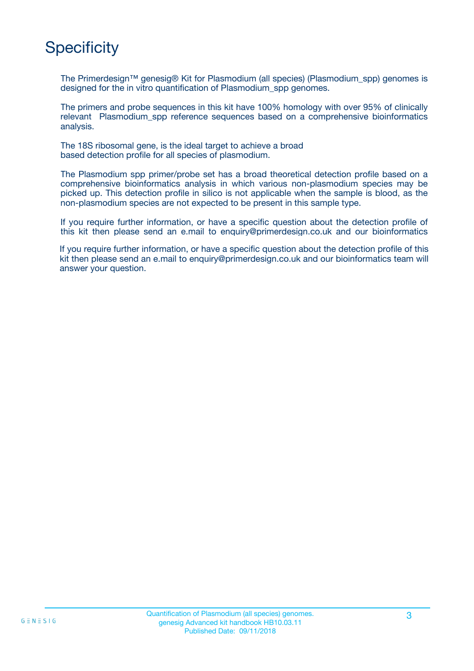# **Specificity**

The Primerdesign™ genesig® Kit for Plasmodium (all species) (Plasmodium\_spp) genomes is designed for the in vitro quantification of Plasmodium\_spp genomes.

The primers and probe sequences in this kit have 100% homology with over 95% of clinically relevant Plasmodium\_spp reference sequences based on a comprehensive bioinformatics analysis.

The 18S ribosomal gene, is the ideal target to achieve a broad based detection profile for all species of plasmodium.

The Plasmodium spp primer/probe set has a broad theoretical detection profile based on a comprehensive bioinformatics analysis in which various non-plasmodium species may be picked up. This detection profile in silico is not applicable when the sample is blood, as the non-plasmodium species are not expected to be present in this sample type.

If you require further information, or have a specific question about the detection profile of this kit then please send an e.mail to enquiry@primerdesign.co.uk and our bioinformatics

If you require further information, or have a specific question about the detection profile of this kit then please send an e.mail to enquiry@primerdesign.co.uk and our bioinformatics team will answer your question.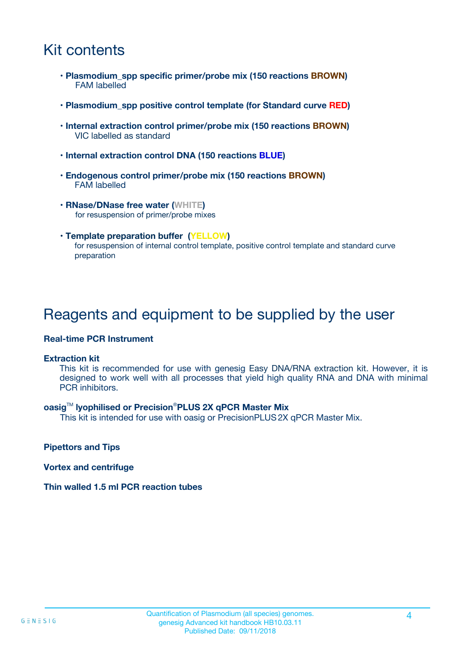## Kit contents

- **Plasmodium\_spp specific primer/probe mix (150 reactions BROWN)** FAM labelled
- **Plasmodium\_spp positive control template (for Standard curve RED)**
- **Internal extraction control primer/probe mix (150 reactions BROWN)** VIC labelled as standard
- **Internal extraction control DNA (150 reactions BLUE)**
- **Endogenous control primer/probe mix (150 reactions BROWN)** FAM labelled
- **RNase/DNase free water (WHITE)** for resuspension of primer/probe mixes
- **Template preparation buffer (YELLOW)** for resuspension of internal control template, positive control template and standard curve preparation

### Reagents and equipment to be supplied by the user

#### **Real-time PCR Instrument**

#### **Extraction kit**

This kit is recommended for use with genesig Easy DNA/RNA extraction kit. However, it is designed to work well with all processes that yield high quality RNA and DNA with minimal PCR inhibitors.

#### **oasig**TM **lyophilised or Precision**®**PLUS 2X qPCR Master Mix**

This kit is intended for use with oasig or PrecisionPLUS2X qPCR Master Mix.

**Pipettors and Tips**

**Vortex and centrifuge**

#### **Thin walled 1.5 ml PCR reaction tubes**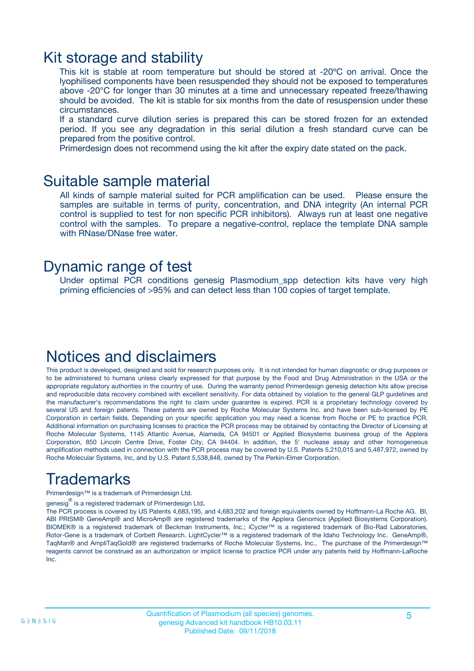### Kit storage and stability

This kit is stable at room temperature but should be stored at -20ºC on arrival. Once the lyophilised components have been resuspended they should not be exposed to temperatures above -20°C for longer than 30 minutes at a time and unnecessary repeated freeze/thawing should be avoided. The kit is stable for six months from the date of resuspension under these circumstances.

If a standard curve dilution series is prepared this can be stored frozen for an extended period. If you see any degradation in this serial dilution a fresh standard curve can be prepared from the positive control.

Primerdesign does not recommend using the kit after the expiry date stated on the pack.

### Suitable sample material

All kinds of sample material suited for PCR amplification can be used. Please ensure the samples are suitable in terms of purity, concentration, and DNA integrity (An internal PCR control is supplied to test for non specific PCR inhibitors). Always run at least one negative control with the samples. To prepare a negative-control, replace the template DNA sample with RNase/DNase free water.

### Dynamic range of test

Under optimal PCR conditions genesig Plasmodium\_spp detection kits have very high priming efficiencies of >95% and can detect less than 100 copies of target template.

### Notices and disclaimers

This product is developed, designed and sold for research purposes only. It is not intended for human diagnostic or drug purposes or to be administered to humans unless clearly expressed for that purpose by the Food and Drug Administration in the USA or the appropriate regulatory authorities in the country of use. During the warranty period Primerdesign genesig detection kits allow precise and reproducible data recovery combined with excellent sensitivity. For data obtained by violation to the general GLP guidelines and the manufacturer's recommendations the right to claim under guarantee is expired. PCR is a proprietary technology covered by several US and foreign patents. These patents are owned by Roche Molecular Systems Inc. and have been sub-licensed by PE Corporation in certain fields. Depending on your specific application you may need a license from Roche or PE to practice PCR. Additional information on purchasing licenses to practice the PCR process may be obtained by contacting the Director of Licensing at Roche Molecular Systems, 1145 Atlantic Avenue, Alameda, CA 94501 or Applied Biosystems business group of the Applera Corporation, 850 Lincoln Centre Drive, Foster City, CA 94404. In addition, the 5' nuclease assay and other homogeneous amplification methods used in connection with the PCR process may be covered by U.S. Patents 5,210,015 and 5,487,972, owned by Roche Molecular Systems, Inc, and by U.S. Patent 5,538,848, owned by The Perkin-Elmer Corporation.

# Trademarks

Primerdesign™ is a trademark of Primerdesign Ltd.

genesig $^\circledR$  is a registered trademark of Primerdesign Ltd.

The PCR process is covered by US Patents 4,683,195, and 4,683,202 and foreign equivalents owned by Hoffmann-La Roche AG. BI, ABI PRISM® GeneAmp® and MicroAmp® are registered trademarks of the Applera Genomics (Applied Biosystems Corporation). BIOMEK® is a registered trademark of Beckman Instruments, Inc.; iCycler™ is a registered trademark of Bio-Rad Laboratories, Rotor-Gene is a trademark of Corbett Research. LightCycler™ is a registered trademark of the Idaho Technology Inc. GeneAmp®, TaqMan® and AmpliTaqGold® are registered trademarks of Roche Molecular Systems, Inc., The purchase of the Primerdesign™ reagents cannot be construed as an authorization or implicit license to practice PCR under any patents held by Hoffmann-LaRoche Inc.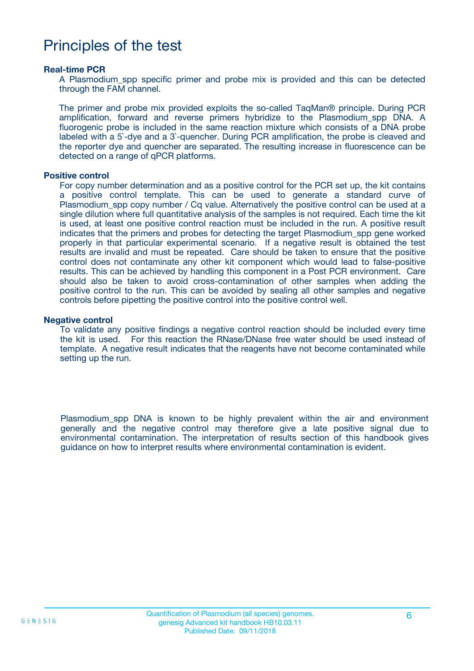## Principles of the test

#### **Real-time PCR**

A Plasmodium\_spp specific primer and probe mix is provided and this can be detected through the FAM channel.

The primer and probe mix provided exploits the so-called TaqMan® principle. During PCR amplification, forward and reverse primers hybridize to the Plasmodium\_spp DNA. A fluorogenic probe is included in the same reaction mixture which consists of a DNA probe labeled with a 5`-dye and a 3`-quencher. During PCR amplification, the probe is cleaved and the reporter dye and quencher are separated. The resulting increase in fluorescence can be detected on a range of qPCR platforms.

#### **Positive control**

For copy number determination and as a positive control for the PCR set up, the kit contains a positive control template. This can be used to generate a standard curve of Plasmodium spp copy number / Cq value. Alternatively the positive control can be used at a single dilution where full quantitative analysis of the samples is not required. Each time the kit is used, at least one positive control reaction must be included in the run. A positive result indicates that the primers and probes for detecting the target Plasmodium\_spp gene worked properly in that particular experimental scenario. If a negative result is obtained the test results are invalid and must be repeated. Care should be taken to ensure that the positive control does not contaminate any other kit component which would lead to false-positive results. This can be achieved by handling this component in a Post PCR environment. Care should also be taken to avoid cross-contamination of other samples when adding the positive control to the run. This can be avoided by sealing all other samples and negative controls before pipetting the positive control into the positive control well.

#### **Negative control**

To validate any positive findings a negative control reaction should be included every time the kit is used. For this reaction the RNase/DNase free water should be used instead of template. A negative result indicates that the reagents have not become contaminated while setting up the run.

Plasmodium\_spp DNA is known to be highly prevalent within the air and environment generally and the negative control may therefore give a late positive signal due to environmental contamination. The interpretation of results section of this handbook gives guidance on how to interpret results where environmental contamination is evident.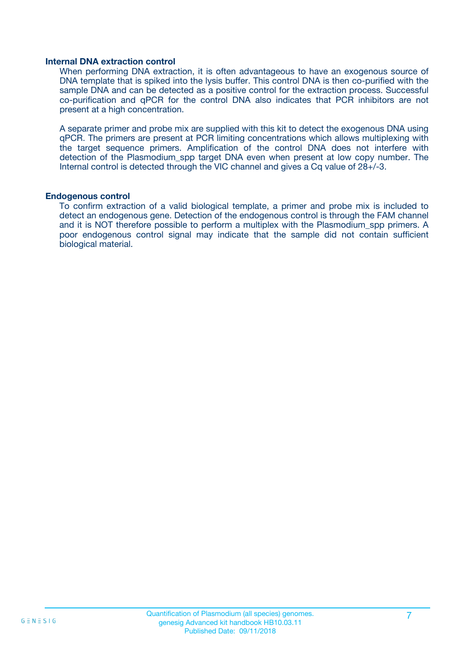#### **Internal DNA extraction control**

When performing DNA extraction, it is often advantageous to have an exogenous source of DNA template that is spiked into the lysis buffer. This control DNA is then co-purified with the sample DNA and can be detected as a positive control for the extraction process. Successful co-purification and qPCR for the control DNA also indicates that PCR inhibitors are not present at a high concentration.

A separate primer and probe mix are supplied with this kit to detect the exogenous DNA using qPCR. The primers are present at PCR limiting concentrations which allows multiplexing with the target sequence primers. Amplification of the control DNA does not interfere with detection of the Plasmodium spp target DNA even when present at low copy number. The Internal control is detected through the VIC channel and gives a Cq value of 28+/-3.

#### **Endogenous control**

To confirm extraction of a valid biological template, a primer and probe mix is included to detect an endogenous gene. Detection of the endogenous control is through the FAM channel and it is NOT therefore possible to perform a multiplex with the Plasmodium\_spp primers. A poor endogenous control signal may indicate that the sample did not contain sufficient biological material.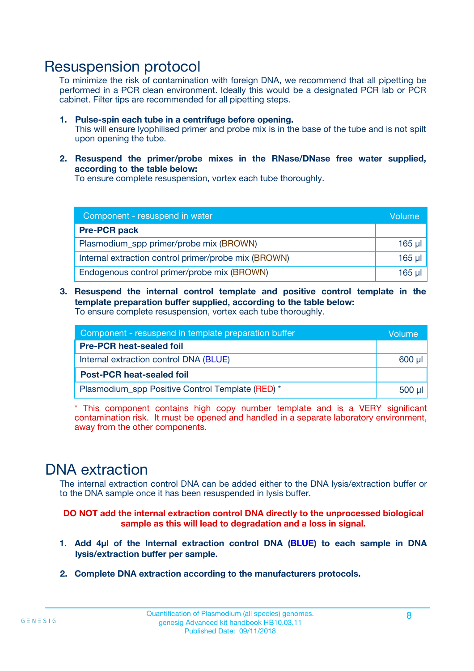### Resuspension protocol

To minimize the risk of contamination with foreign DNA, we recommend that all pipetting be performed in a PCR clean environment. Ideally this would be a designated PCR lab or PCR cabinet. Filter tips are recommended for all pipetting steps.

- **1. Pulse-spin each tube in a centrifuge before opening.** This will ensure lyophilised primer and probe mix is in the base of the tube and is not spilt upon opening the tube.
- **2. Resuspend the primer/probe mixes in the RNase/DNase free water supplied, according to the table below:**

To ensure complete resuspension, vortex each tube thoroughly.

| Component - resuspend in water                       |          |  |  |
|------------------------------------------------------|----------|--|--|
| <b>Pre-PCR pack</b>                                  |          |  |  |
| Plasmodium_spp primer/probe mix (BROWN)              |          |  |  |
| Internal extraction control primer/probe mix (BROWN) | $165$ µl |  |  |
| Endogenous control primer/probe mix (BROWN)          | 165 µl   |  |  |

**3. Resuspend the internal control template and positive control template in the template preparation buffer supplied, according to the table below:** To ensure complete resuspension, vortex each tube thoroughly.

| Component - resuspend in template preparation buffer |  |  |  |
|------------------------------------------------------|--|--|--|
| <b>Pre-PCR heat-sealed foil</b>                      |  |  |  |
| Internal extraction control DNA (BLUE)               |  |  |  |
| <b>Post-PCR heat-sealed foil</b>                     |  |  |  |
| Plasmodium_spp Positive Control Template (RED) *     |  |  |  |

\* This component contains high copy number template and is a VERY significant contamination risk. It must be opened and handled in a separate laboratory environment, away from the other components.

### DNA extraction

The internal extraction control DNA can be added either to the DNA lysis/extraction buffer or to the DNA sample once it has been resuspended in lysis buffer.

**DO NOT add the internal extraction control DNA directly to the unprocessed biological sample as this will lead to degradation and a loss in signal.**

- **1. Add 4µl of the Internal extraction control DNA (BLUE) to each sample in DNA lysis/extraction buffer per sample.**
- **2. Complete DNA extraction according to the manufacturers protocols.**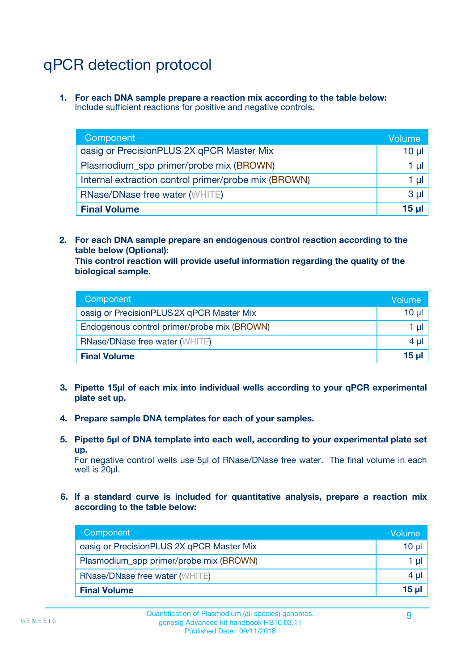# qPCR detection protocol

**1. For each DNA sample prepare a reaction mix according to the table below:** Include sufficient reactions for positive and negative controls.

| Component                                            | Volume   |  |
|------------------------------------------------------|----------|--|
| oasig or PrecisionPLUS 2X qPCR Master Mix            | $10 \mu$ |  |
| Plasmodium_spp primer/probe mix (BROWN)              | 1 µI     |  |
| Internal extraction control primer/probe mix (BROWN) |          |  |
| <b>RNase/DNase free water (WHITE)</b>                |          |  |
| <b>Final Volume</b>                                  | 15 ul    |  |

**2. For each DNA sample prepare an endogenous control reaction according to the table below (Optional):**

**This control reaction will provide useful information regarding the quality of the biological sample.**

| Component                                   | Volume   |  |
|---------------------------------------------|----------|--|
| oasig or PrecisionPLUS 2X qPCR Master Mix   | $10 \mu$ |  |
| Endogenous control primer/probe mix (BROWN) |          |  |
| <b>RNase/DNase free water (WHITE)</b>       | $4 \mu$  |  |
| <b>Final Volume</b>                         | 15 µl    |  |

- **3. Pipette 15µl of each mix into individual wells according to your qPCR experimental plate set up.**
- **4. Prepare sample DNA templates for each of your samples.**
- **5. Pipette 5µl of DNA template into each well, according to your experimental plate set up.**

For negative control wells use 5µl of RNase/DNase free water. The final volume in each well is 20ul.

**6. If a standard curve is included for quantitative analysis, prepare a reaction mix according to the table below:**

| Component                                 | Volume  |
|-------------------------------------------|---------|
| oasig or PrecisionPLUS 2X qPCR Master Mix | 10 µl   |
| Plasmodium_spp primer/probe mix (BROWN)   | 1 µI    |
| <b>RNase/DNase free water (WHITE)</b>     | $4 \mu$ |
| <b>Final Volume</b>                       | 15 µl   |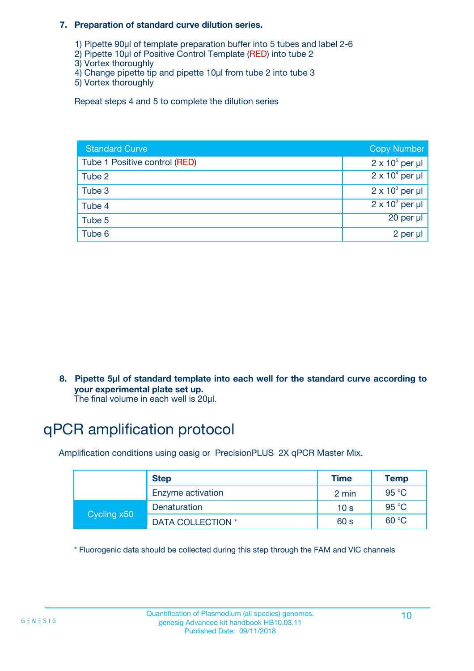#### **7. Preparation of standard curve dilution series.**

- 1) Pipette 90µl of template preparation buffer into 5 tubes and label 2-6
- 2) Pipette 10µl of Positive Control Template (RED) into tube 2
- 3) Vortex thoroughly
- 4) Change pipette tip and pipette 10µl from tube 2 into tube 3
- 5) Vortex thoroughly

Repeat steps 4 and 5 to complete the dilution series

| <b>Standard Curve</b>         | <b>Copy Number</b>     |
|-------------------------------|------------------------|
| Tube 1 Positive control (RED) | $2 \times 10^5$ per µl |
| Tube 2                        | $2 \times 10^4$ per µl |
| Tube 3                        | $2 \times 10^3$ per µl |
| Tube 4                        | $2 \times 10^2$ per µl |
| Tube 5                        | 20 per µl              |
| Tube 6                        | 2 per µl               |

**8. Pipette 5µl of standard template into each well for the standard curve according to your experimental plate set up.**

#### The final volume in each well is 20µl.

# qPCR amplification protocol

Amplification conditions using oasig or PrecisionPLUS 2X qPCR Master Mix.

|             | <b>Step</b>       | <b>Time</b>     | Temp    |
|-------------|-------------------|-----------------|---------|
|             | Enzyme activation | 2 min           | 95 °C   |
| Cycling x50 | Denaturation      | 10 <sub>s</sub> | 95 $°C$ |
|             | DATA COLLECTION * | 60 s            | 60 °C   |

\* Fluorogenic data should be collected during this step through the FAM and VIC channels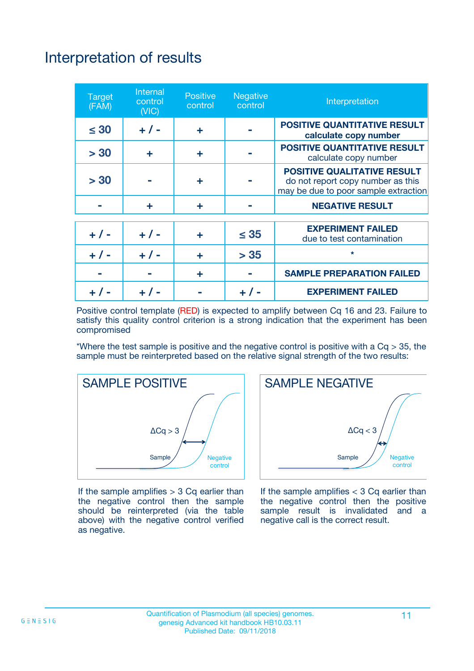# Interpretation of results

| <b>Target</b><br>(FAM) | Internal<br>control<br>(NIC) | <b>Positive</b><br>control | <b>Negative</b><br>control | Interpretation                                                                                                  |
|------------------------|------------------------------|----------------------------|----------------------------|-----------------------------------------------------------------------------------------------------------------|
| $\leq 30$              | $+ 1 -$                      | ÷                          |                            | <b>POSITIVE QUANTITATIVE RESULT</b><br>calculate copy number                                                    |
| > 30                   | ÷                            | ÷                          |                            | <b>POSITIVE QUANTITATIVE RESULT</b><br>calculate copy number                                                    |
| > 30                   |                              | ÷                          |                            | <b>POSITIVE QUALITATIVE RESULT</b><br>do not report copy number as this<br>may be due to poor sample extraction |
|                        | ÷                            | ÷                          |                            | <b>NEGATIVE RESULT</b>                                                                                          |
| $+ 1 -$                | $+ 1 -$                      | ÷                          | $\leq 35$                  | <b>EXPERIMENT FAILED</b><br>due to test contamination                                                           |
|                        | $+$ / -                      | ÷                          | > 35                       | $\star$                                                                                                         |
|                        |                              | ÷                          |                            | <b>SAMPLE PREPARATION FAILED</b>                                                                                |
|                        |                              |                            |                            | <b>EXPERIMENT FAILED</b>                                                                                        |

Positive control template (RED) is expected to amplify between Cq 16 and 23. Failure to satisfy this quality control criterion is a strong indication that the experiment has been compromised

\*Where the test sample is positive and the negative control is positive with a  $Cq > 35$ , the sample must be reinterpreted based on the relative signal strength of the two results:



If the sample amplifies  $> 3$  Cq earlier than the negative control then the sample should be reinterpreted (via the table above) with the negative control verified as negative.



If the sample amplifies  $<$  3 Cq earlier than the negative control then the positive sample result is invalidated and a negative call is the correct result.